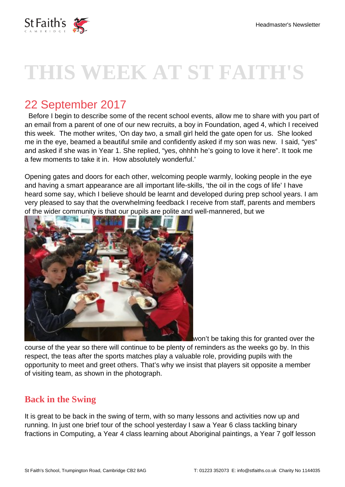

# **THIS WEEK AT ST FAITH'S**

# 22 September 2017

 Before I begin to describe some of the recent school events, allow me to share with you part of an email from a parent of one of our new recruits, a boy in Foundation, aged 4, which I received this week. The mother writes, 'On day two, a small girl held the gate open for us. She looked me in the eye, beamed a beautiful smile and confidently asked if my son was new. I said, "yes" and asked if she was in Year 1. She replied, "yes, ohhhh he's going to love it here". It took me a few moments to take it in. How absolutely wonderful.'

Opening gates and doors for each other, welcoming people warmly, looking people in the eye and having a smart appearance are all important life-skills, 'the oil in the cogs of life' I have heard some say, which I believe should be learnt and developed during prep school years. I am very pleased to say that the overwhelming feedback I receive from staff, parents and members of the wider community is that our pupils are polite and well-mannered, but we



won't be taking this for granted over the

course of the year so there will continue to be plenty of reminders as the weeks go by. In this respect, the teas after the sports matches play a valuable role, providing pupils with the opportunity to meet and greet others. That's why we insist that players sit opposite a member of visiting team, as shown in the photograph.

### **Back in the Swing**

It is great to be back in the swing of term, with so many lessons and activities now up and running. In just one brief tour of the school yesterday I saw a Year 6 class tackling binary fractions in Computing, a Year 4 class learning about Aboriginal paintings, a Year 7 golf lesson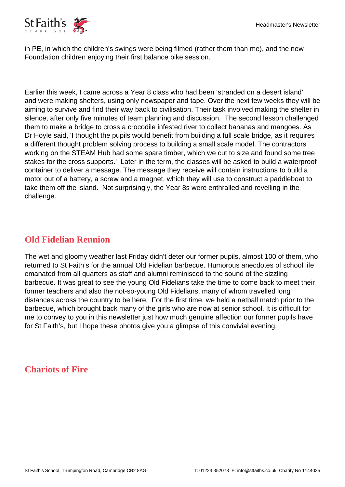

in PE, in which the children's swings were being filmed (rather them than me), and the new Foundation children enjoying their first balance bike session.

Earlier this week, I came across a Year 8 class who had been 'stranded on a desert island' and were making shelters, using only newspaper and tape. Over the next few weeks they will be aiming to survive and find their way back to civilisation. Their task involved making the shelter in silence, after only five minutes of team planning and discussion. The second lesson challenged them to make a bridge to cross a crocodile infested river to collect bananas and mangoes. As Dr Hoyle said, 'I thought the pupils would benefit from building a full scale bridge, as it requires a different thought problem solving process to building a small scale model. The contractors working on the STEAM Hub had some spare timber, which we cut to size and found some tree stakes for the cross supports.' Later in the term, the classes will be asked to build a waterproof container to deliver a message. The message they receive will contain instructions to build a motor out of a battery, a screw and a magnet, which they will use to construct a paddleboat to take them off the island. Not surprisingly, the Year 8s were enthralled and revelling in the challenge.

#### **Old Fidelian Reunion**

The wet and gloomy weather last Friday didn't deter our former pupils, almost 100 of them, who returned to St Faith's for the annual Old Fidelian barbecue. Humorous anecdotes of school life emanated from all quarters as staff and alumni reminisced to the sound of the sizzling barbecue. It was great to see the young Old Fidelians take the time to come back to meet their former teachers and also the not-so-young Old Fidelians, many of whom travelled long distances across the country to be here. For the first time, we held a netball match prior to the barbecue, which brought back many of the girls who are now at senior school. It is difficult for me to convey to you in this newsletter just how much genuine affection our former pupils have for St Faith's, but I hope these photos give you a glimpse of this convivial evening.

#### **Chariots of Fire**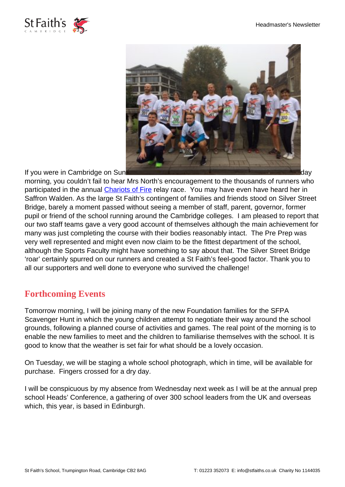



morning, you couldn't fail to hear Mrs North's encouragement to the thousands of runners who participated in the annual [Chariots of Fire](https://www.justgiving.com/fundraising/stfaithscambridge?utm_medium=email&utm_source=ExactTarget&utm_campaign=20170922_94475) relay race. You may have even have heard her in Saffron Walden. As the large St Faith's contingent of families and friends stood on Silver Street Bridge, barely a moment passed without seeing a member of staff, parent, governor, former pupil or friend of the school running around the Cambridge colleges. I am pleased to report that our two staff teams gave a very good account of themselves although the main achievement for many was just completing the course with their bodies reasonably intact. The Pre Prep was very well represented and might even now claim to be the fittest department of the school, although the Sports Faculty might have something to say about that. The Silver Street Bridge 'roar' certainly spurred on our runners and created a St Faith's feel-good factor. Thank you to all our supporters and well done to everyone who survived the challenge!

#### **Forthcoming Events**

Tomorrow morning, I will be joining many of the new Foundation families for the SFPA Scavenger Hunt in which the young children attempt to negotiate their way around the school grounds, following a planned course of activities and games. The real point of the morning is to enable the new families to meet and the children to familiarise themselves with the school. It is good to know that the weather is set fair for what should be a lovely occasion.

On Tuesday, we will be staging a whole school photograph, which in time, will be available for purchase. Fingers crossed for a dry day.

I will be conspicuous by my absence from Wednesday next week as I will be at the annual prep school Heads' Conference, a gathering of over 300 school leaders from the UK and overseas which, this year, is based in Edinburgh.